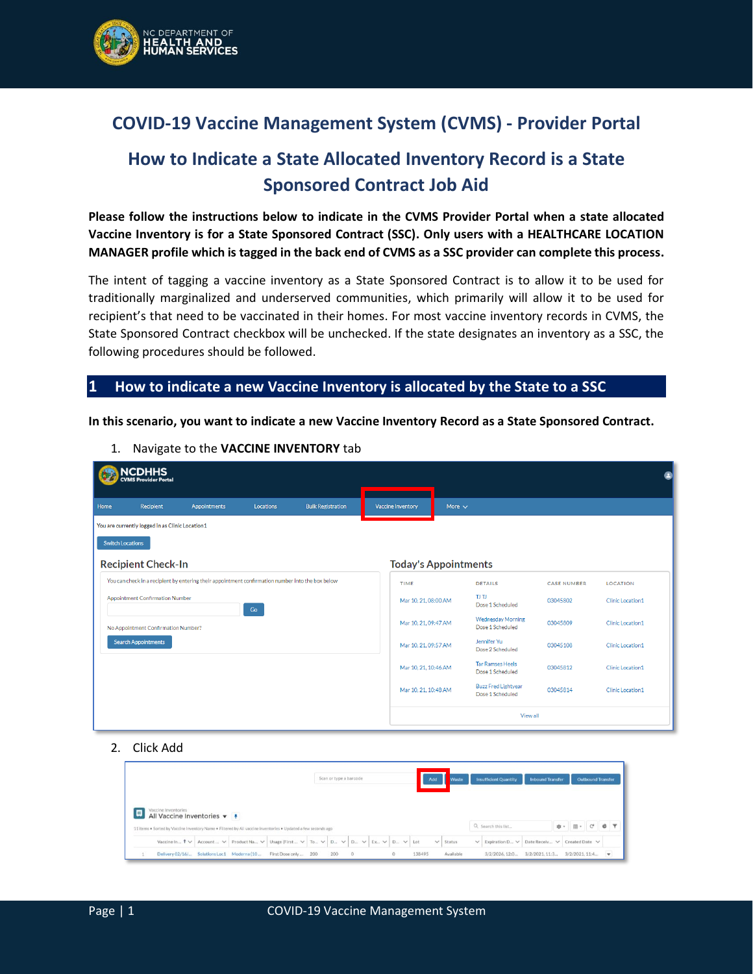

## **COVID-19 Vaccine Management System (CVMS) - Provider Portal**

# **How to Indicate a State Allocated Inventory Record is a State Sponsored Contract Job Aid**

**Please follow the instructions below to indicate in the CVMS Provider Portal when a state allocated Vaccine Inventory is for a State Sponsored Contract (SSC). Only users with a HEALTHCARE LOCATION MANAGER profile which is tagged in the back end of CVMS as a SSC provider can complete this process.**

The intent of tagging a vaccine inventory as a State Sponsored Contract is to allow it to be used for traditionally marginalized and underserved communities, which primarily will allow it to be used for recipient's that need to be vaccinated in their homes. For most vaccine inventory records in CVMS, the State Sponsored Contract checkbox will be unchecked. If the state designates an inventory as a SSC, the following procedures should be followed.

#### **1 How to indicate a new Vaccine Inventory is allocated by the State to a SSC**

**In this scenario, you want to indicate a new Vaccine Inventory Record as a State Sponsored Contract.**

|                         | <b>NCDHHS</b><br><b>CVMS Provider Portal</b>    |                                                                                                   |           |                          |                             |             |                                                |                    |                         |
|-------------------------|-------------------------------------------------|---------------------------------------------------------------------------------------------------|-----------|--------------------------|-----------------------------|-------------|------------------------------------------------|--------------------|-------------------------|
| Home                    | Recipient                                       | <b>Appointments</b>                                                                               | Locations | <b>Bulk Registration</b> | <b>Vaccine Inventory</b>    | More $\sim$ |                                                |                    |                         |
|                         | You are currently logged in as Clinic Location1 |                                                                                                   |           |                          |                             |             |                                                |                    |                         |
| <b>Switch Locations</b> |                                                 |                                                                                                   |           |                          |                             |             |                                                |                    |                         |
|                         | <b>Recipient Check-In</b>                       |                                                                                                   |           |                          | <b>Today's Appointments</b> |             |                                                |                    |                         |
|                         |                                                 | You can check in a recipient by entering their appointment confirmation number into the box below |           |                          | TIME                        |             | <b>DETAILS</b>                                 | <b>CASE NUMBER</b> | <b>LOCATION</b>         |
|                         | <b>Appointment Confirmation Number</b>          |                                                                                                   | Go        |                          | Mar 10, 21, 08:00 AM        |             | TJ TJ<br>Dose 1 Scheduled                      | 03045802           | Clinic Location1        |
|                         | No Appointment Confirmation Number?             |                                                                                                   |           |                          | Mar 10, 21, 09:47 AM        |             | <b>Wednesday Morning</b><br>Dose 1 Scheduled   | 03045809           | <b>Clinic Location1</b> |
|                         | <b>Search Appointments</b>                      |                                                                                                   |           |                          | Mar 10, 21, 09:57 AM        |             | Jennifer Yu<br>Dose 2 Scheduled                | 03045108           | Clinic Location1        |
|                         |                                                 |                                                                                                   |           |                          | Mar 10, 21, 10:46 AM        |             | <b>Tar Ramses Heels</b><br>Dose 1 Scheduled    | 03045812           | <b>Clinic Location1</b> |
|                         |                                                 |                                                                                                   |           |                          | Mar 10, 21, 10:48 AM        |             | <b>Buzz Fred Lightyear</b><br>Dose 1 Scheduled | 03045814           | Clinic Location1        |
|                         |                                                 |                                                                                                   |           |                          |                             |             | View all                                       |                    |                         |

1. Navigate to the **VACCINE INVENTORY** tab

#### 2. Click Add

|                                                                                                                                            |  |  |  |  |  |  | Add | Waste         | <b>Insufficient Quantity</b>                                      | <b>Inbound Transfer</b> |                                      | <b>Outbound Transfer</b> |  |
|--------------------------------------------------------------------------------------------------------------------------------------------|--|--|--|--|--|--|-----|---------------|-------------------------------------------------------------------|-------------------------|--------------------------------------|--------------------------|--|
| Vaccine Inventories<br>All Vaccine Inventories $\arrow$ 4                                                                                  |  |  |  |  |  |  |     |               |                                                                   |                         |                                      |                          |  |
|                                                                                                                                            |  |  |  |  |  |  |     |               |                                                                   |                         |                                      |                          |  |
| 11 Items . Sorted by Vaccine Inventory Name . Filtered by All vaccine Inventories . Updated a few seconds ago                              |  |  |  |  |  |  |     |               | Q. Search this list                                               |                         | <b>B</b> - <b>m</b> - <b>c c c γ</b> |                          |  |
| Vaccine In $\uparrow \vee$ Account $\vee$ Product Na $\vee$ Usage (First $\vee$ To $\vee$ D $\vee$ D $\vee$ D $\vee$ D $\vee$ D $\vee$ Lot |  |  |  |  |  |  |     | $\vee$ Status | $\vee$ Expiration D $\vee$ Date Receiv $\vee$ Created Date $\vee$ |                         |                                      |                          |  |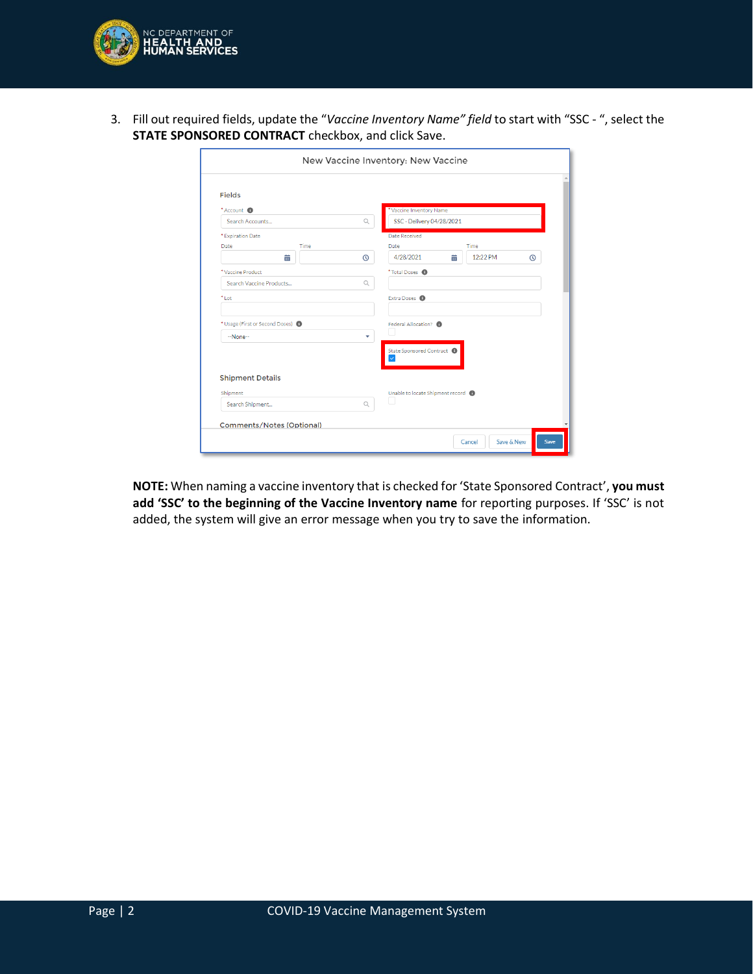

3. Fill out required fields, update the "*Vaccine Inventory Name" field* to start with "SSC - ", select the **STATE SPONSORED CONTRACT** checkbox, and click Save.

|                                                          |                                  |             | New Vaccine Inventory: New Vaccine    |
|----------------------------------------------------------|----------------------------------|-------------|---------------------------------------|
| <b>Fields</b>                                            |                                  |             |                                       |
| *Account <sup>6</sup>                                    |                                  |             | *Vaccine Inventory Name               |
| Search Accounts                                          |                                  | $\mathbb Q$ | SSC - Delivery 04/28/2021             |
| * Expiration Date                                        |                                  |             | Date Received                         |
| <b>Date</b>                                              | Time                             |             | Time<br>Date                          |
|                                                          | 齒                                | $\odot$     | 12:22 PM<br>4/28/2021<br>萹<br>$\odot$ |
| *Vaccine Product                                         |                                  |             | *Total Doses <sup>6</sup>             |
| Search Vaccine Products                                  |                                  | Q           |                                       |
| *Lot                                                     |                                  |             | Extra Doses <sup>1</sup>              |
| * Usage (First or Second Doses) <sup>1</sup><br>--None-- |                                  | ٠           | Federal Allocation? <sup>6</sup>      |
|                                                          |                                  |             | State Sponsored Contract              |
| <b>Shipment Details</b>                                  |                                  |             |                                       |
| Shipment                                                 |                                  |             | Unable to locate Shipment record      |
| Search Shipment                                          |                                  | $\alpha$    |                                       |
|                                                          | <b>Comments/Notes (Optional)</b> |             |                                       |
|                                                          |                                  |             | Save & New<br>Cancel<br>Save          |

**NOTE:** When naming a vaccine inventory that is checked for 'State Sponsored Contract', **you must add 'SSC' to the beginning of the Vaccine Inventory name** for reporting purposes. If 'SSC' is not added, the system will give an error message when you try to save the information.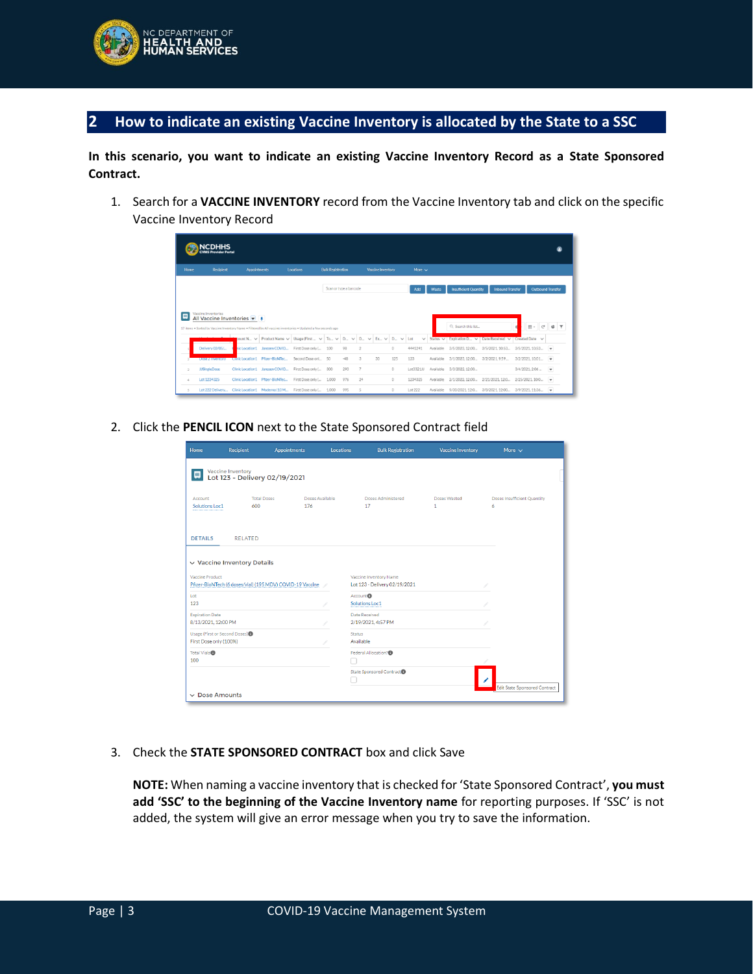

### **2 How to indicate an existing Vaccine Inventory is allocated by the State to a SSC**

**In this scenario, you want to indicate an existing Vaccine Inventory Record as a State Sponsored Contract.**

1. Search for a **VACCINE INVENTORY** record from the Vaccine Inventory tab and click on the specific Vaccine Inventory Record

|              | <b>ACDHHS</b><br><b>CVMS Provider Portal</b>                                                                                                                                           |                     |                                 |                                        |                          |                        |    |                                        |              |                     |               |                              |                                  |                          |                          |
|--------------|----------------------------------------------------------------------------------------------------------------------------------------------------------------------------------------|---------------------|---------------------------------|----------------------------------------|--------------------------|------------------------|----|----------------------------------------|--------------|---------------------|---------------|------------------------------|----------------------------------|--------------------------|--------------------------|
| Home         | Recipient                                                                                                                                                                              | <b>Appointments</b> |                                 | Locations                              | <b>Bulk Resistration</b> |                        |    | Vaccine Inventory                      |              | More $\sim$         |               |                              |                                  |                          |                          |
|              |                                                                                                                                                                                        |                     |                                 |                                        |                          | Scan or type a barcode |    |                                        |              | Add                 | Waste         | <b>Insufficient Quantity</b> | <b>Inbound Transfer</b>          | <b>Outbound Transfer</b> |                          |
|              | Vaccine Inventories<br>All Vaccine Inventories $\blacktriangledown$ #<br>17 items . Sorted by Vaccine Inventory Name . Filtered by All vaccine inventories . Updated a few seconds ago |                     |                                 |                                        |                          |                        |    |                                        |              |                     |               | Q. Search this list          |                                  | $\mathbb{R}$ .<br>C      | c                        |
|              |                                                                                                                                                                                        | pount $N_{-} \vee$  | Product Name V                  | Usage (First $\vee$ To $\vee$ D $\vee$ |                          |                        |    | $D_{-}$ $\vee$ $Ex_{-}$ $\vee$ $D_{-}$ | $\checkmark$ | Lot<br>$\checkmark$ | Status $\vee$ |                              | Expiration D V   Date Received V | Created Date V           |                          |
|              | Delivery 03/05/                                                                                                                                                                        |                     | tic Location1 Janssen COVID     | First Dose only [                      | 100                      | 98                     |    |                                        | o            | 4441241             | Available     | 3/5/2023.12:00               | 3/5/2021.10:53                   | 3/5/2021.10:53           | $\overline{\phantom{a}}$ |
|              | <b>LASSE Z HWENLOFY</b>                                                                                                                                                                |                     | Umic Location1 Pfizer-BioNTec   | Second Dose onl 50                     |                          | $-48$                  | 3  | 30                                     | 125          | 123                 | Available     | 3/1/2023.12:00               | 3/2/2021 9:59                    | 3/2/2021.10:01           | $\overline{\phantom{a}}$ |
| $\mathbb{R}$ | <b>JJSingleDose</b>                                                                                                                                                                    |                     | Clinic Location1 Janssen COVID  | First Dose only [                      | 300                      | 293                    |    |                                        | 0            | Lot3321JJ           | Available     | 3/3/2022 12:00               |                                  | 3/4/2021.2:06            | $\overline{\phantom{a}}$ |
| $\Delta$     | Lot 1234325                                                                                                                                                                            |                     | Clinic Location1 Pfizer-BloNTec | First Dose only [                      | 1.000                    | 976                    | 24 |                                        | $\Omega$     | 1234325             | Available     | 2/1/2022.12:00               | 2/21/2021.12:0                   | 2/25/2021.10:0           | $\overline{\mathbf{v}}$  |
| 5            | Lot 222 Delivery Clinic Location1 Moderna (10 M                                                                                                                                        |                     |                                 | First Dose only [                      | 1,000                    | 995                    | -5 |                                        | 0            | Lot 222             | Available     | 9/30/2021 12:0               | 3/8/2021.12:00                   | 3/9/2021 11:36           | $\overline{\phantom{a}}$ |

2. Click the **PENCIL ICON** next to the State Sponsored Contract field

| Home                                         | <b>Recipient</b>                                   | <b>Appointments</b>                                       | Locations     | <b>Bulk Registration</b>                                | <b>Vaccine Inventory</b> | More $\sim$                          |
|----------------------------------------------|----------------------------------------------------|-----------------------------------------------------------|---------------|---------------------------------------------------------|--------------------------|--------------------------------------|
| 四                                            | Vaccine Inventory<br>Lot 123 - Delivery 02/19/2021 |                                                           |               |                                                         |                          |                                      |
| Account<br>Solutions Loc1                    | <b>Total Doses</b><br>600                          | Doses Available<br>176                                    |               | Doses Administered<br>17                                | Doses Wasted<br>1        | Doses Insufficient Quantity<br>6     |
| <b>DETAILS</b>                               | <b>RELATED</b>                                     |                                                           |               |                                                         |                          |                                      |
|                                              | $\vee$ Vaccine Inventory Details                   |                                                           |               |                                                         |                          |                                      |
| Vaccine Product                              |                                                    | Pfizer-BioNTech (6 doses/vial) (195 MDV) COVID-19 Vaccine |               | Vaccine Inventory Name<br>Lot 123 - Delivery 02/19/2021 |                          |                                      |
| Lot<br>123                                   |                                                    |                                                           |               | Account <sup>0</sup><br>Solutions Loc1                  |                          |                                      |
| <b>Expiration Date</b><br>8/13/2021.12:00 PM |                                                    |                                                           |               | Date Received<br>2/19/2021, 4:57 PM                     |                          |                                      |
| First Dose only (100%)                       | Usage (First or Second Doses) <sup></sup>          |                                                           | <b>Status</b> | Available                                               |                          |                                      |
| Total Vials <sup>®</sup><br>100              |                                                    |                                                           |               | Federal Allocation?                                     |                          |                                      |
|                                              |                                                    |                                                           |               | State Sponsored Contract <sup>O</sup>                   |                          | <b>Edit State Sponsored Contract</b> |
| $\vee$ Dose Amounts                          |                                                    |                                                           |               |                                                         |                          |                                      |

3. Check the **STATE SPONSORED CONTRACT** box and click Save

**NOTE:** When naming a vaccine inventory that is checked for 'State Sponsored Contract', **you must add 'SSC' to the beginning of the Vaccine Inventory name** for reporting purposes. If 'SSC' is not added, the system will give an error message when you try to save the information.